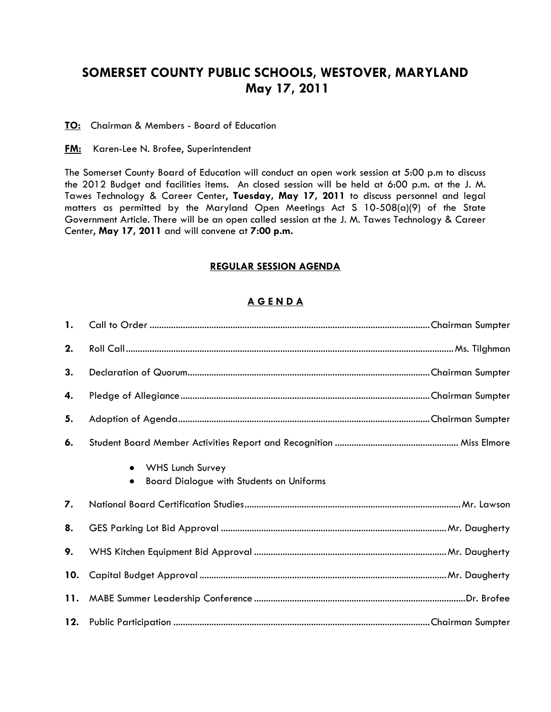## **SOMERSET COUNTY PUBLIC SCHOOLS, WESTOVER, MARYLAND May 17, 2011**

**TO:** Chairman & Members - Board of Education

**FM:** Karen-Lee N. Brofee, Superintendent

The Somerset County Board of Education will conduct an open work session at 5:00 p.m to discuss the 2012 Budget and facilities items. An closed session will be held at 6:00 p.m. at the J. M. Tawes Technology & Career Center, **Tuesday, May 17, 2011** to discuss personnel and legal matters as permitted by the Maryland Open Meetings Act S 10-508(a)(9) of the State Government Article. There will be an open called session at the J. M. Tawes Technology & Career Center, **May 17, 2011** and will convene at **7:00 p.m.**

## **REGULAR SESSION AGENDA**

## **A G E N D A**

| $\mathbf{1}$ . |                                                                                  |  |
|----------------|----------------------------------------------------------------------------------|--|
| 2.             |                                                                                  |  |
| 3.             |                                                                                  |  |
| 4.             |                                                                                  |  |
| 5.             |                                                                                  |  |
| 6.             |                                                                                  |  |
|                | WHS Lunch Survey<br>$\bullet$<br><b>Board Dialogue with Students on Uniforms</b> |  |
| 7.             |                                                                                  |  |
| 8.             |                                                                                  |  |
| 9.             |                                                                                  |  |
| 10.            |                                                                                  |  |
|                |                                                                                  |  |
|                |                                                                                  |  |